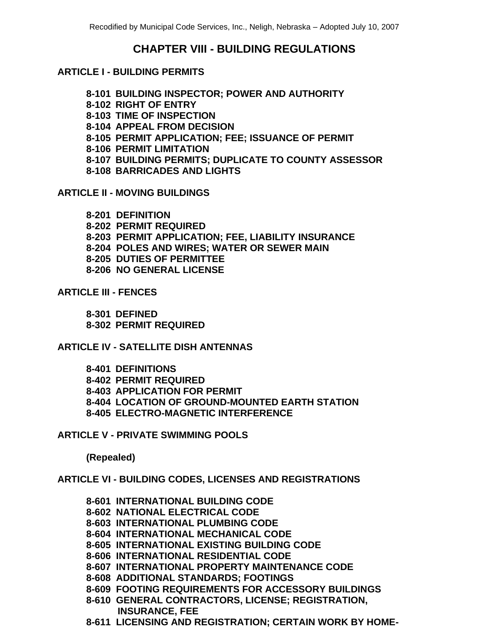# **CHAPTER VIII - BUILDING REGULATIONS**

## **ARTICLE I - BUILDING PERMITS**

- **8-101 BUILDING INSPECTOR; POWER AND AUTHORITY**
- **8-102 RIGHT OF ENTRY**
- **8-103 TIME OF INSPECTION**
- **8-104 APPEAL FROM DECISION**
- **8-105 PERMIT APPLICATION; FEE; ISSUANCE OF PERMIT**
- **8-106 PERMIT LIMITATION**
- **8-107 BUILDING PERMITS; DUPLICATE TO COUNTY ASSESSOR**
- **8-108 BARRICADES AND LIGHTS**

## **ARTICLE II - MOVING BUILDINGS**

- **8-201 DEFINITION**
- **8-202 PERMIT REQUIRED**
- **8-203 PERMIT APPLICATION; FEE, LIABILITY INSURANCE**
- **8-204 POLES AND WIRES; WATER OR SEWER MAIN**
- **8-205 DUTIES OF PERMITTEE**
- **8-206 NO GENERAL LICENSE**

## **ARTICLE III - FENCES**

**8-301 DEFINED 8-302 PERMIT REQUIRED**

## **ARTICLE IV - SATELLITE DISH ANTENNAS**

**8-401 DEFINITIONS 8-402 PERMIT REQUIRED 8-403 APPLICATION FOR PERMIT 8-404 LOCATION OF GROUND-MOUNTED EARTH STATION 8-405 ELECTRO-MAGNETIC INTERFERENCE**

#### **ARTICLE V - PRIVATE SWIMMING POOLS**

**(Repealed)**

## **ARTICLE VI - BUILDING CODES, LICENSES AND REGISTRATIONS**

- **8-601 INTERNATIONAL BUILDING CODE 8-602 NATIONAL ELECTRICAL CODE 8-603 INTERNATIONAL PLUMBING CODE 8-604 INTERNATIONAL MECHANICAL CODE 8-605 INTERNATIONAL EXISTING BUILDING CODE 8-606 INTERNATIONAL RESIDENTIAL CODE 8-607 INTERNATIONAL PROPERTY MAINTENANCE CODE 8-608 ADDITIONAL STANDARDS; FOOTINGS 8-609 FOOTING REQUIREMENTS FOR ACCESSORY BUILDINGS 8-610 GENERAL CONTRACTORS, LICENSE; REGISTRATION,**
- **INSURANCE, FEE 8-611 LICENSING AND REGISTRATION; CERTAIN WORK BY HOME-**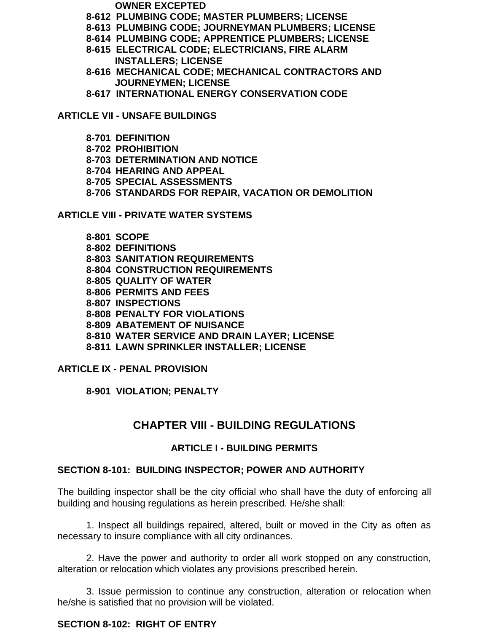- **OWNER EXCEPTED**
- **8-612 PLUMBING CODE; MASTER PLUMBERS; LICENSE**
- **8-613 PLUMBING CODE; JOURNEYMAN PLUMBERS; LICENSE**
- **8-614 PLUMBING CODE; APPRENTICE PLUMBERS; LICENSE**
- **8-615 ELECTRICAL CODE; ELECTRICIANS, FIRE ALARM INSTALLERS; LICENSE**
- **8-616 MECHANICAL CODE; MECHANICAL CONTRACTORS AND JOURNEYMEN; LICENSE**
- **8-617 INTERNATIONAL ENERGY CONSERVATION CODE**

**ARTICLE VII - UNSAFE BUILDINGS**

- **8-701 DEFINITION**
- **8-702 PROHIBITION**
- **8-703 DETERMINATION AND NOTICE**
- **8-704 HEARING AND APPEAL**
- **8-705 SPECIAL ASSESSMENTS**
- **8-706 STANDARDS FOR REPAIR, VACATION OR DEMOLITION**

**ARTICLE VIII - PRIVATE WATER SYSTEMS**

**8-801 SCOPE 8-802 DEFINITIONS 8-803 SANITATION REQUIREMENTS 8-804 CONSTRUCTION REQUIREMENTS 8-805 QUALITY OF WATER 8-806 PERMITS AND FEES 8-807 INSPECTIONS 8-808 PENALTY FOR VIOLATIONS 8-809 ABATEMENT OF NUISANCE 8-810 WATER SERVICE AND DRAIN LAYER; LICENSE 8-811 LAWN SPRINKLER INSTALLER; LICENSE**

**ARTICLE IX - PENAL PROVISION**

**8-901 VIOLATION; PENALTY**

# **CHAPTER VIII - BUILDING REGULATIONS**

## **ARTICLE I - BUILDING PERMITS**

#### **SECTION 8-101: BUILDING INSPECTOR; POWER AND AUTHORITY**

The building inspector shall be the city official who shall have the duty of enforcing all building and housing regulations as herein prescribed. He/she shall:

1. Inspect all buildings repaired, altered, built or moved in the City as often as necessary to insure compliance with all city ordinances.

2. Have the power and authority to order all work stopped on any construction, alteration or relocation which violates any provisions prescribed herein.

3. Issue permission to continue any construction, alteration or relocation when he/she is satisfied that no provision will be violated.

## **SECTION 8-102: RIGHT OF ENTRY**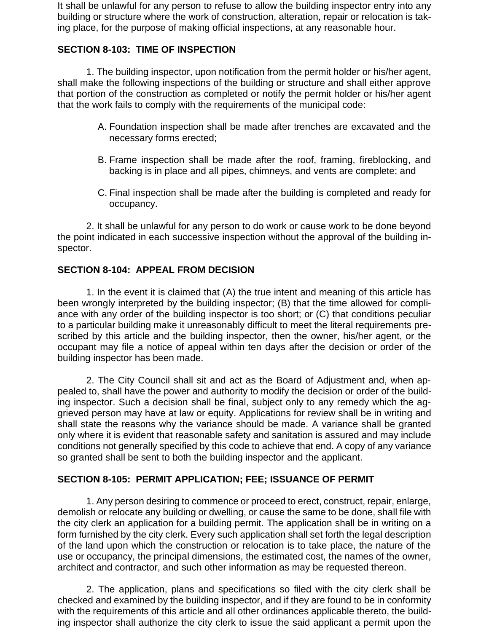It shall be unlawful for any person to refuse to allow the building inspector entry into any building or structure where the work of construction, alteration, repair or relocation is taking place, for the purpose of making official inspections, at any reasonable hour.

#### **SECTION 8-103: TIME OF INSPECTION**

1. The building inspector, upon notification from the permit holder or his/her agent, shall make the following inspections of the building or structure and shall either approve that portion of the construction as completed or notify the permit holder or his/her agent that the work fails to comply with the requirements of the municipal code:

- A. Foundation inspection shall be made after trenches are excavated and the necessary forms erected;
- B. Frame inspection shall be made after the roof, framing, fireblocking, and backing is in place and all pipes, chimneys, and vents are complete; and
- C. Final inspection shall be made after the building is completed and ready for occupancy.

2. It shall be unlawful for any person to do work or cause work to be done beyond the point indicated in each successive inspection without the approval of the building inspector.

#### **SECTION 8-104: APPEAL FROM DECISION**

1. In the event it is claimed that (A) the true intent and meaning of this article has been wrongly interpreted by the building inspector; (B) that the time allowed for compliance with any order of the building inspector is too short; or (C) that conditions peculiar to a particular building make it unreasonably difficult to meet the literal requirements prescribed by this article and the building inspector, then the owner, his/her agent, or the occupant may file a notice of appeal within ten days after the decision or order of the building inspector has been made.

2. The City Council shall sit and act as the Board of Adjustment and, when appealed to, shall have the power and authority to modify the decision or order of the building inspector. Such a decision shall be final, subject only to any remedy which the aggrieved person may have at law or equity. Applications for review shall be in writing and shall state the reasons why the variance should be made. A variance shall be granted only where it is evident that reasonable safety and sanitation is assured and may include conditions not generally specified by this code to achieve that end. A copy of any variance so granted shall be sent to both the building inspector and the applicant.

#### **SECTION 8-105: PERMIT APPLICATION; FEE; ISSUANCE OF PERMIT**

1. Any person desiring to commence or proceed to erect, construct, repair, enlarge, demolish or relocate any building or dwelling, or cause the same to be done, shall file with the city clerk an application for a building permit. The application shall be in writing on a form furnished by the city clerk. Every such application shall set forth the legal description of the land upon which the construction or relocation is to take place, the nature of the use or occupancy, the principal dimensions, the estimated cost, the names of the owner, architect and contractor, and such other information as may be requested thereon.

2. The application, plans and specifications so filed with the city clerk shall be checked and examined by the building inspector, and if they are found to be in conformity with the requirements of this article and all other ordinances applicable thereto, the building inspector shall authorize the city clerk to issue the said applicant a permit upon the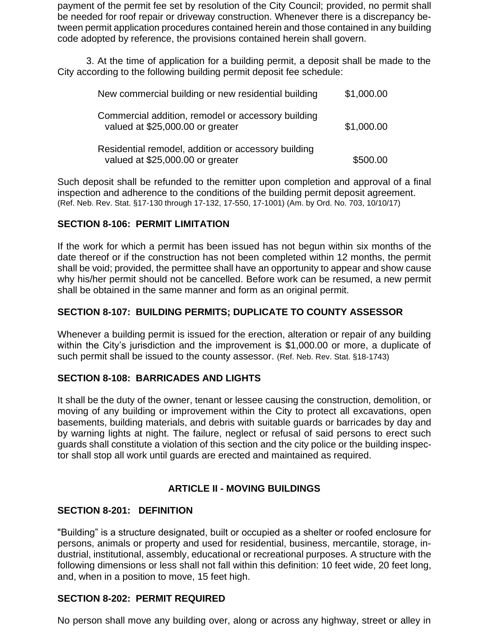payment of the permit fee set by resolution of the City Council; provided, no permit shall be needed for roof repair or driveway construction. Whenever there is a discrepancy between permit application procedures contained herein and those contained in any building code adopted by reference, the provisions contained herein shall govern.

3. At the time of application for a building permit, a deposit shall be made to the City according to the following building permit deposit fee schedule:

| New commercial building or new residential building                                     | \$1,000.00 |
|-----------------------------------------------------------------------------------------|------------|
| Commercial addition, remodel or accessory building<br>valued at \$25,000.00 or greater  | \$1,000.00 |
| Residential remodel, addition or accessory building<br>valued at \$25,000.00 or greater | \$500.00   |

Such deposit shall be refunded to the remitter upon completion and approval of a final inspection and adherence to the conditions of the building permit deposit agreement. (Ref. Neb. Rev. Stat. §17-130 through 17-132, 17-550, 17-1001) (Am. by Ord. No. 703, 10/10/17)

#### **SECTION 8-106: PERMIT LIMITATION**

If the work for which a permit has been issued has not begun within six months of the date thereof or if the construction has not been completed within 12 months, the permit shall be void; provided, the permittee shall have an opportunity to appear and show cause why his/her permit should not be cancelled. Before work can be resumed, a new permit shall be obtained in the same manner and form as an original permit.

#### **SECTION 8-107: BUILDING PERMITS; DUPLICATE TO COUNTY ASSESSOR**

Whenever a building permit is issued for the erection, alteration or repair of any building within the City's jurisdiction and the improvement is \$1,000.00 or more, a duplicate of such permit shall be issued to the county assessor. (Ref. Neb. Rev. Stat. §18-1743)

#### **SECTION 8-108: BARRICADES AND LIGHTS**

It shall be the duty of the owner, tenant or lessee causing the construction, demolition, or moving of any building or improvement within the City to protect all excavations, open basements, building materials, and debris with suitable guards or barricades by day and by warning lights at night. The failure, neglect or refusal of said persons to erect such guards shall constitute a violation of this section and the city police or the building inspector shall stop all work until guards are erected and maintained as required.

## **ARTICLE II - MOVING BUILDINGS**

#### **SECTION 8-201: DEFINITION**

"Building" is a structure designated, built or occupied as a shelter or roofed enclosure for persons, animals or property and used for residential, business, mercantile, storage, industrial, institutional, assembly, educational or recreational purposes. A structure with the following dimensions or less shall not fall within this definition: 10 feet wide, 20 feet long, and, when in a position to move, 15 feet high.

#### **SECTION 8-202: PERMIT REQUIRED**

No person shall move any building over, along or across any highway, street or alley in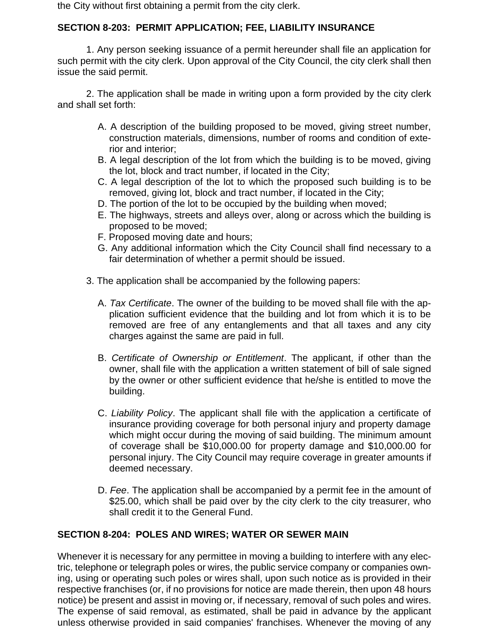the City without first obtaining a permit from the city clerk.

## **SECTION 8-203: PERMIT APPLICATION; FEE, LIABILITY INSURANCE**

1. Any person seeking issuance of a permit hereunder shall file an application for such permit with the city clerk. Upon approval of the City Council, the city clerk shall then issue the said permit.

2. The application shall be made in writing upon a form provided by the city clerk and shall set forth:

- A. A description of the building proposed to be moved, giving street number, construction materials, dimensions, number of rooms and condition of exterior and interior;
- B. A legal description of the lot from which the building is to be moved, giving the lot, block and tract number, if located in the City;
- C. A legal description of the lot to which the proposed such building is to be removed, giving lot, block and tract number, if located in the City;
- D. The portion of the lot to be occupied by the building when moved;
- E. The highways, streets and alleys over, along or across which the building is proposed to be moved;
- F. Proposed moving date and hours;
- G. Any additional information which the City Council shall find necessary to a fair determination of whether a permit should be issued.
- 3. The application shall be accompanied by the following papers:
	- A. *Tax Certificate*. The owner of the building to be moved shall file with the application sufficient evidence that the building and lot from which it is to be removed are free of any entanglements and that all taxes and any city charges against the same are paid in full.
	- B. *Certificate of Ownership or Entitlement*. The applicant, if other than the owner, shall file with the application a written statement of bill of sale signed by the owner or other sufficient evidence that he/she is entitled to move the building.
	- C. *Liability Policy*. The applicant shall file with the application a certificate of insurance providing coverage for both personal injury and property damage which might occur during the moving of said building. The minimum amount of coverage shall be \$10,000.00 for property damage and \$10,000.00 for personal injury. The City Council may require coverage in greater amounts if deemed necessary.
	- D. *Fee*. The application shall be accompanied by a permit fee in the amount of \$25.00, which shall be paid over by the city clerk to the city treasurer, who shall credit it to the General Fund.

#### **SECTION 8-204: POLES AND WIRES; WATER OR SEWER MAIN**

Whenever it is necessary for any permittee in moving a building to interfere with any electric, telephone or telegraph poles or wires, the public service company or companies owning, using or operating such poles or wires shall, upon such notice as is provided in their respective franchises (or, if no provisions for notice are made therein, then upon 48 hours notice) be present and assist in moving or, if necessary, removal of such poles and wires. The expense of said removal, as estimated, shall be paid in advance by the applicant unless otherwise provided in said companies' franchises. Whenever the moving of any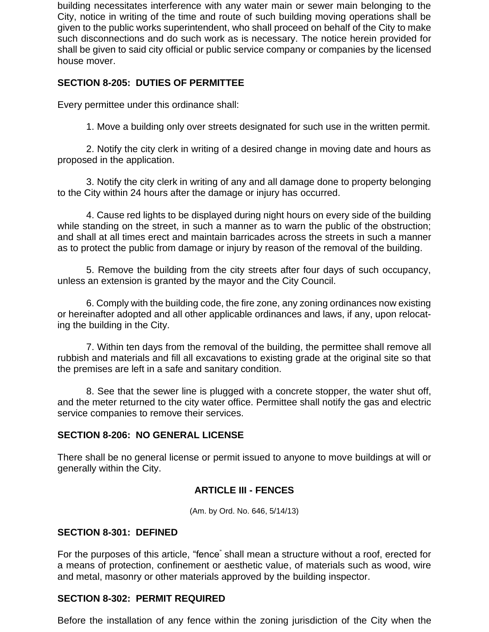building necessitates interference with any water main or sewer main belonging to the City, notice in writing of the time and route of such building moving operations shall be given to the public works superintendent, who shall proceed on behalf of the City to make such disconnections and do such work as is necessary. The notice herein provided for shall be given to said city official or public service company or companies by the licensed house mover.

## **SECTION 8-205: DUTIES OF PERMITTEE**

Every permittee under this ordinance shall:

1. Move a building only over streets designated for such use in the written permit.

2. Notify the city clerk in writing of a desired change in moving date and hours as proposed in the application.

3. Notify the city clerk in writing of any and all damage done to property belonging to the City within 24 hours after the damage or injury has occurred.

4. Cause red lights to be displayed during night hours on every side of the building while standing on the street, in such a manner as to warn the public of the obstruction; and shall at all times erect and maintain barricades across the streets in such a manner as to protect the public from damage or injury by reason of the removal of the building.

5. Remove the building from the city streets after four days of such occupancy, unless an extension is granted by the mayor and the City Council.

6. Comply with the building code, the fire zone, any zoning ordinances now existing or hereinafter adopted and all other applicable ordinances and laws, if any, upon relocating the building in the City.

7. Within ten days from the removal of the building, the permittee shall remove all rubbish and materials and fill all excavations to existing grade at the original site so that the premises are left in a safe and sanitary condition.

8. See that the sewer line is plugged with a concrete stopper, the water shut off, and the meter returned to the city water office. Permittee shall notify the gas and electric service companies to remove their services.

#### **SECTION 8-206: NO GENERAL LICENSE**

There shall be no general license or permit issued to anyone to move buildings at will or generally within the City.

#### **ARTICLE III - FENCES**

(Am. by Ord. No. 646, 5/14/13)

#### **SECTION 8-301: DEFINED**

For the purposes of this article, "fence" shall mean a structure without a roof, erected for a means of protection, confinement or aesthetic value, of materials such as wood, wire and metal, masonry or other materials approved by the building inspector.

#### **SECTION 8-302: PERMIT REQUIRED**

Before the installation of any fence within the zoning jurisdiction of the City when the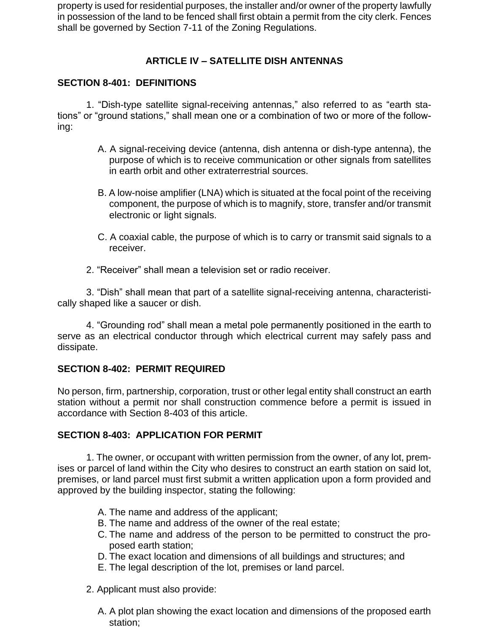property is used for residential purposes, the installer and/or owner of the property lawfully in possession of the land to be fenced shall first obtain a permit from the city clerk. Fences shall be governed by Section 7-11 of the Zoning Regulations.

# **ARTICLE IV – SATELLITE DISH ANTENNAS**

## **SECTION 8-401: DEFINITIONS**

1. "Dish-type satellite signal-receiving antennas," also referred to as "earth stations" or "ground stations," shall mean one or a combination of two or more of the following:

- A. A signal-receiving device (antenna, dish antenna or dish-type antenna), the purpose of which is to receive communication or other signals from satellites in earth orbit and other extraterrestrial sources.
- B. A low-noise amplifier (LNA) which is situated at the focal point of the receiving component, the purpose of which is to magnify, store, transfer and/or transmit electronic or light signals.
- C. A coaxial cable, the purpose of which is to carry or transmit said signals to a receiver.
- 2. "Receiver" shall mean a television set or radio receiver.

3. "Dish" shall mean that part of a satellite signal-receiving antenna, characteristically shaped like a saucer or dish.

4. "Grounding rod" shall mean a metal pole permanently positioned in the earth to serve as an electrical conductor through which electrical current may safely pass and dissipate.

## **SECTION 8-402: PERMIT REQUIRED**

No person, firm, partnership, corporation, trust or other legal entity shall construct an earth station without a permit nor shall construction commence before a permit is issued in accordance with Section 8-403 of this article.

#### **SECTION 8-403: APPLICATION FOR PERMIT**

1. The owner, or occupant with written permission from the owner, of any lot, premises or parcel of land within the City who desires to construct an earth station on said lot, premises, or land parcel must first submit a written application upon a form provided and approved by the building inspector, stating the following:

- A. The name and address of the applicant;
- B. The name and address of the owner of the real estate;
- C. The name and address of the person to be permitted to construct the proposed earth station;
- D. The exact location and dimensions of all buildings and structures; and
- E. The legal description of the lot, premises or land parcel.
- 2. Applicant must also provide:
	- A. A plot plan showing the exact location and dimensions of the proposed earth station;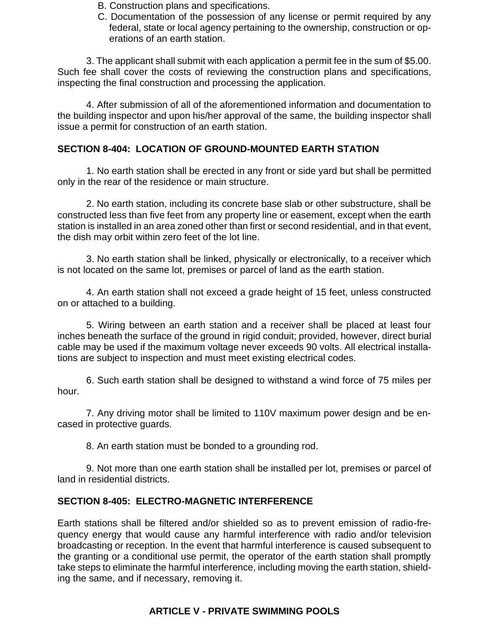- B. Construction plans and specifications.
- C. Documentation of the possession of any license or permit required by any federal, state or local agency pertaining to the ownership, construction or operations of an earth station.

3. The applicant shall submit with each application a permit fee in the sum of \$5.00. Such fee shall cover the costs of reviewing the construction plans and specifications, inspecting the final construction and processing the application.

4. After submission of all of the aforementioned information and documentation to the building inspector and upon his/her approval of the same, the building inspector shall issue a permit for construction of an earth station.

## **SECTION 8-404: LOCATION OF GROUND-MOUNTED EARTH STATION**

1. No earth station shall be erected in any front or side yard but shall be permitted only in the rear of the residence or main structure.

2. No earth station, including its concrete base slab or other substructure, shall be constructed less than five feet from any property line or easement, except when the earth station is installed in an area zoned other than first or second residential, and in that event, the dish may orbit within zero feet of the lot line.

 3. No earth station shall be linked, physically or electronically, to a receiver which is not located on the same lot, premises or parcel of land as the earth station.

 4. An earth station shall not exceed a grade height of 15 feet, unless constructed on or attached to a building.

 5. Wiring between an earth station and a receiver shall be placed at least four inches beneath the surface of the ground in rigid conduit; provided, however, direct burial cable may be used if the maximum voltage never exceeds 90 volts. All electrical installations are subject to inspection and must meet existing electrical codes.

6. Such earth station shall be designed to withstand a wind force of 75 miles per hour.

7. Any driving motor shall be limited to 110V maximum power design and be encased in protective guards.

8. An earth station must be bonded to a grounding rod.

9. Not more than one earth station shall be installed per lot, premises or parcel of land in residential districts.

#### **SECTION 8-405: ELECTRO-MAGNETIC INTERFERENCE**

Earth stations shall be filtered and/or shielded so as to prevent emission of radio-frequency energy that would cause any harmful interference with radio and/or television broadcasting or reception. In the event that harmful interference is caused subsequent to the granting or a conditional use permit, the operator of the earth station shall promptly take steps to eliminate the harmful interference, including moving the earth station, shielding the same, and if necessary, removing it.

## **ARTICLE V - PRIVATE SWIMMING POOLS**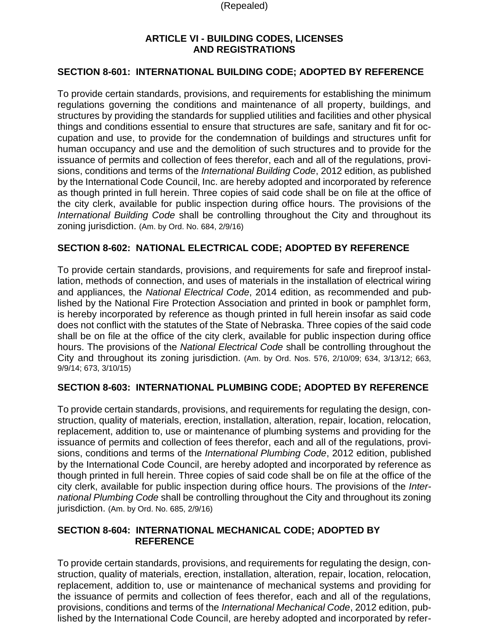(Repealed)

## **ARTICLE VI - BUILDING CODES, LICENSES AND REGISTRATIONS**

## **SECTION 8-601: INTERNATIONAL BUILDING CODE; ADOPTED BY REFERENCE**

To provide certain standards, provisions, and requirements for establishing the minimum regulations governing the conditions and maintenance of all property, buildings, and structures by providing the standards for supplied utilities and facilities and other physical things and conditions essential to ensure that structures are safe, sanitary and fit for occupation and use, to provide for the condemnation of buildings and structures unfit for human occupancy and use and the demolition of such structures and to provide for the issuance of permits and collection of fees therefor, each and all of the regulations, provisions, conditions and terms of the *International Building Code*, 2012 edition, as published by the International Code Council, Inc. are hereby adopted and incorporated by reference as though printed in full herein. Three copies of said code shall be on file at the office of the city clerk, available for public inspection during office hours. The provisions of the *International Building Code* shall be controlling throughout the City and throughout its zoning jurisdiction. (Am. by Ord. No. 684, 2/9/16)

## **SECTION 8-602: NATIONAL ELECTRICAL CODE; ADOPTED BY REFERENCE**

To provide certain standards, provisions, and requirements for safe and fireproof installation, methods of connection, and uses of materials in the installation of electrical wiring and appliances, the *National Electrical Code*, 2014 edition, as recommended and published by the National Fire Protection Association and printed in book or pamphlet form, is hereby incorporated by reference as though printed in full herein insofar as said code does not conflict with the statutes of the State of Nebraska. Three copies of the said code shall be on file at the office of the city clerk, available for public inspection during office hours. The provisions of the *National Electrical Code* shall be controlling throughout the City and throughout its zoning jurisdiction. (Am. by Ord. Nos. 576, 2/10/09; 634, 3/13/12; 663, 9/9/14; 673, 3/10/15)

#### **SECTION 8-603: INTERNATIONAL PLUMBING CODE; ADOPTED BY REFERENCE**

To provide certain standards, provisions, and requirements for regulating the design, construction, quality of materials, erection, installation, alteration, repair, location, relocation, replacement, addition to, use or maintenance of plumbing systems and providing for the issuance of permits and collection of fees therefor, each and all of the regulations, provisions, conditions and terms of the *International Plumbing Code*, 2012 edition, published by the International Code Council, are hereby adopted and incorporated by reference as though printed in full herein. Three copies of said code shall be on file at the office of the city clerk, available for public inspection during office hours. The provisions of the *International Plumbing Code* shall be controlling throughout the City and throughout its zoning jurisdiction. (Am. by Ord. No. 685, 2/9/16)

#### **SECTION 8-604: INTERNATIONAL MECHANICAL CODE; ADOPTED BY REFERENCE**

To provide certain standards, provisions, and requirements for regulating the design, construction, quality of materials, erection, installation, alteration, repair, location, relocation, replacement, addition to, use or maintenance of mechanical systems and providing for the issuance of permits and collection of fees therefor, each and all of the regulations, provisions, conditions and terms of the *International Mechanical Code*, 2012 edition, published by the International Code Council, are hereby adopted and incorporated by refer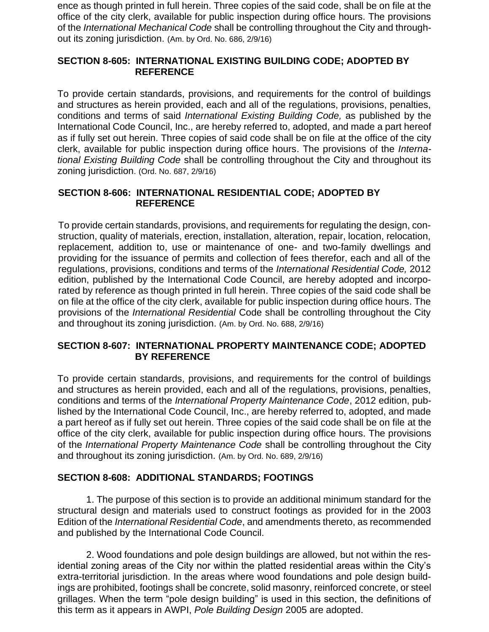ence as though printed in full herein. Three copies of the said code, shall be on file at the office of the city clerk, available for public inspection during office hours. The provisions of the *International Mechanical Code* shall be controlling throughout the City and throughout its zoning jurisdiction. (Am. by Ord. No. 686, 2/9/16)

## **SECTION 8-605: INTERNATIONAL EXISTING BUILDING CODE; ADOPTED BY REFERENCE**

To provide certain standards, provisions, and requirements for the control of buildings and structures as herein provided, each and all of the regulations, provisions, penalties, conditions and terms of said *International Existing Building Code,* as published by the International Code Council, Inc., are hereby referred to, adopted, and made a part hereof as if fully set out herein. Three copies of said code shall be on file at the office of the city clerk, available for public inspection during office hours. The provisions of the *International Existing Building Code* shall be controlling throughout the City and throughout its zoning jurisdiction. (Ord. No. 687, 2/9/16)

## **SECTION 8-606: INTERNATIONAL RESIDENTIAL CODE; ADOPTED BY REFERENCE**

To provide certain standards, provisions, and requirements for regulating the design, construction, quality of materials, erection, installation, alteration, repair, location, relocation, replacement, addition to, use or maintenance of one- and two-family dwellings and providing for the issuance of permits and collection of fees therefor, each and all of the regulations, provisions, conditions and terms of the *International Residential Code,* 2012 edition, published by the International Code Council, are hereby adopted and incorporated by reference as though printed in full herein. Three copies of the said code shall be on file at the office of the city clerk, available for public inspection during office hours. The provisions of the *International Residential* Code shall be controlling throughout the City and throughout its zoning jurisdiction. (Am. by Ord. No. 688, 2/9/16)

## **SECTION 8-607: INTERNATIONAL PROPERTY MAINTENANCE CODE; ADOPTED BY REFERENCE**

To provide certain standards, provisions, and requirements for the control of buildings and structures as herein provided, each and all of the regulations, provisions, penalties, conditions and terms of the *International Property Maintenance Code*, 2012 edition, published by the International Code Council, Inc., are hereby referred to, adopted, and made a part hereof as if fully set out herein. Three copies of the said code shall be on file at the office of the city clerk, available for public inspection during office hours. The provisions of the *International Property Maintenance Code* shall be controlling throughout the City and throughout its zoning jurisdiction. (Am. by Ord. No. 689, 2/9/16)

#### **SECTION 8-608: ADDITIONAL STANDARDS; FOOTINGS**

1. The purpose of this section is to provide an additional minimum standard for the structural design and materials used to construct footings as provided for in the 2003 Edition of the *International Residential Code*, and amendments thereto, as recommended and published by the International Code Council.

2. Wood foundations and pole design buildings are allowed, but not within the residential zoning areas of the City nor within the platted residential areas within the City's extra-territorial jurisdiction. In the areas where wood foundations and pole design buildings are prohibited, footings shall be concrete, solid masonry, reinforced concrete, or steel grillages. When the term "pole design building" is used in this section, the definitions of this term as it appears in AWPI, *Pole Building Design* 2005 are adopted.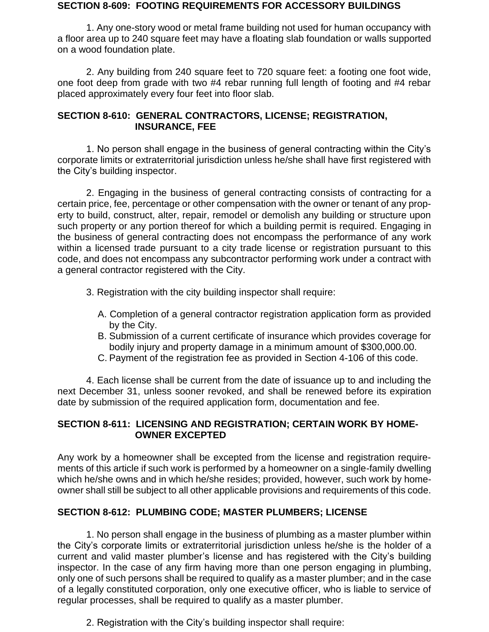#### **SECTION 8-609: FOOTING REQUIREMENTS FOR ACCESSORY BUILDINGS**

1. Any one-story wood or metal frame building not used for human occupancy with a floor area up to 240 square feet may have a floating slab foundation or walls supported on a wood foundation plate.

2. Any building from 240 square feet to 720 square feet: a footing one foot wide, one foot deep from grade with two #4 rebar running full length of footing and #4 rebar placed approximately every four feet into floor slab.

#### **SECTION 8-610: GENERAL CONTRACTORS, LICENSE; REGISTRATION, INSURANCE, FEE**

1. No person shall engage in the business of general contracting within the City's corporate limits or extraterritorial jurisdiction unless he/she shall have first registered with the City's building inspector.

2. Engaging in the business of general contracting consists of contracting for a certain price, fee, percentage or other compensation with the owner or tenant of any property to build, construct, alter, repair, remodel or demolish any building or structure upon such property or any portion thereof for which a building permit is required. Engaging in the business of general contracting does not encompass the performance of any work within a licensed trade pursuant to a city trade license or registration pursuant to this code, and does not encompass any subcontractor performing work under a contract with a general contractor registered with the City.

- 3. Registration with the city building inspector shall require:
	- A. Completion of a general contractor registration application form as provided by the City.
	- B. Submission of a current certificate of insurance which provides coverage for bodily injury and property damage in a minimum amount of \$300,000.00.
	- C. Payment of the registration fee as provided in Section 4-106 of this code.

4. Each license shall be current from the date of issuance up to and including the next December 31, unless sooner revoked, and shall be renewed before its expiration date by submission of the required application form, documentation and fee.

## **SECTION 8-611: LICENSING AND REGISTRATION; CERTAIN WORK BY HOME-OWNER EXCEPTED**

Any work by a homeowner shall be excepted from the license and registration requirements of this article if such work is performed by a homeowner on a single-family dwelling which he/she owns and in which he/she resides; provided, however, such work by homeowner shall still be subject to all other applicable provisions and requirements of this code.

## **SECTION 8-612: PLUMBING CODE; MASTER PLUMBERS; LICENSE**

1. No person shall engage in the business of plumbing as a master plumber within the City's corporate limits or extraterritorial jurisdiction unless he/she is the holder of a current and valid master plumber's license and has registered with the City's building inspector. In the case of any firm having more than one person engaging in plumbing, only one of such persons shall be required to qualify as a master plumber; and in the case of a legally constituted corporation, only one executive officer, who is liable to service of regular processes, shall be required to qualify as a master plumber.

2. Registration with the City's building inspector shall require: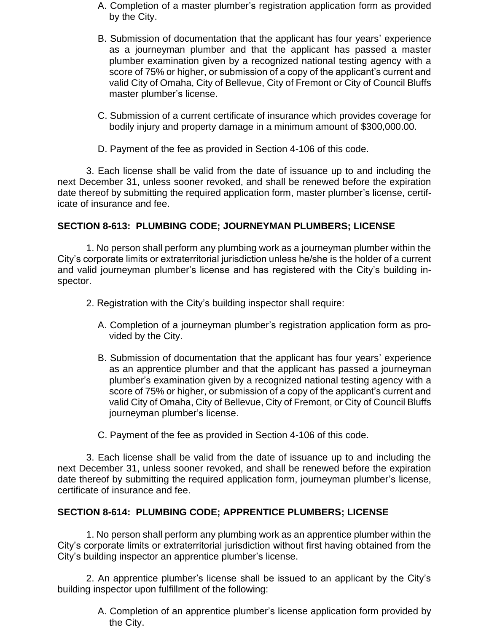- A. Completion of a master plumber's registration application form as provided by the City.
- B. Submission of documentation that the applicant has four years' experience as a journeyman plumber and that the applicant has passed a master plumber examination given by a recognized national testing agency with a score of 75% or higher, or submission of a copy of the applicant's current and valid City of Omaha, City of Bellevue, City of Fremont or City of Council Bluffs master plumber's license.
- C. Submission of a current certificate of insurance which provides coverage for bodily injury and property damage in a minimum amount of \$300,000.00.
- D. Payment of the fee as provided in Section 4-106 of this code.

3. Each license shall be valid from the date of issuance up to and including the next December 31, unless sooner revoked, and shall be renewed before the expiration date thereof by submitting the required application form, master plumber's license, certificate of insurance and fee.

## **SECTION 8-613: PLUMBING CODE; JOURNEYMAN PLUMBERS; LICENSE**

1. No person shall perform any plumbing work as a journeyman plumber within the City's corporate limits or extraterritorial jurisdiction unless he/she is the holder of a current and valid journeyman plumber's license and has registered with the City's building inspector.

- 2. Registration with the City's building inspector shall require:
	- A. Completion of a journeyman plumber's registration application form as provided by the City.
	- B. Submission of documentation that the applicant has four years' experience as an apprentice plumber and that the applicant has passed a journeyman plumber's examination given by a recognized national testing agency with a score of 75% or higher, or submission of a copy of the applicant's current and valid City of Omaha, City of Bellevue, City of Fremont, or City of Council Bluffs journeyman plumber's license.

C. Payment of the fee as provided in Section 4-106 of this code.

3. Each license shall be valid from the date of issuance up to and including the next December 31, unless sooner revoked, and shall be renewed before the expiration date thereof by submitting the required application form, journeyman plumber's license, certificate of insurance and fee.

#### **SECTION 8-614: PLUMBING CODE; APPRENTICE PLUMBERS; LICENSE**

1. No person shall perform any plumbing work as an apprentice plumber within the City's corporate limits or extraterritorial jurisdiction without first having obtained from the City's building inspector an apprentice plumber's license.

2. An apprentice plumber's license shall be issued to an applicant by the City's building inspector upon fulfillment of the following:

> A. Completion of an apprentice plumber's license application form provided by the City.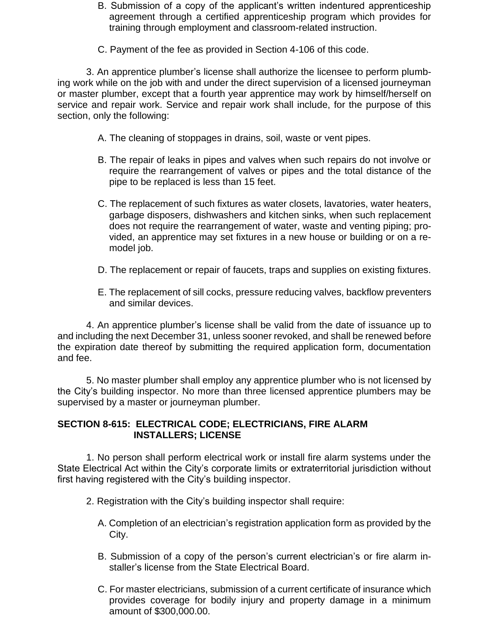- B. Submission of a copy of the applicant's written indentured apprenticeship agreement through a certified apprenticeship program which provides for training through employment and classroom-related instruction.
- C. Payment of the fee as provided in Section 4-106 of this code.

3. An apprentice plumber's license shall authorize the licensee to perform plumbing work while on the job with and under the direct supervision of a licensed journeyman or master plumber, except that a fourth year apprentice may work by himself/herself on service and repair work. Service and repair work shall include, for the purpose of this section, only the following:

- A. The cleaning of stoppages in drains, soil, waste or vent pipes.
- B. The repair of leaks in pipes and valves when such repairs do not involve or require the rearrangement of valves or pipes and the total distance of the pipe to be replaced is less than 15 feet.
- C. The replacement of such fixtures as water closets, lavatories, water heaters, garbage disposers, dishwashers and kitchen sinks, when such replacement does not require the rearrangement of water, waste and venting piping; provided, an apprentice may set fixtures in a new house or building or on a remodel job.
- D. The replacement or repair of faucets, traps and supplies on existing fixtures.
- E. The replacement of sill cocks, pressure reducing valves, backflow preventers and similar devices.

4. An apprentice plumber's license shall be valid from the date of issuance up to and including the next December 31, unless sooner revoked, and shall be renewed before the expiration date thereof by submitting the required application form, documentation and fee.

5. No master plumber shall employ any apprentice plumber who is not licensed by the City's building inspector. No more than three licensed apprentice plumbers may be supervised by a master or journeyman plumber.

## **SECTION 8-615: ELECTRICAL CODE; ELECTRICIANS, FIRE ALARM INSTALLERS; LICENSE**

1. No person shall perform electrical work or install fire alarm systems under the State Electrical Act within the City's corporate limits or extraterritorial jurisdiction without first having registered with the City's building inspector.

- 2. Registration with the City's building inspector shall require:
	- A. Completion of an electrician's registration application form as provided by the City.
	- B. Submission of a copy of the person's current electrician's or fire alarm installer's license from the State Electrical Board.
	- C. For master electricians, submission of a current certificate of insurance which provides coverage for bodily injury and property damage in a minimum amount of \$300,000.00.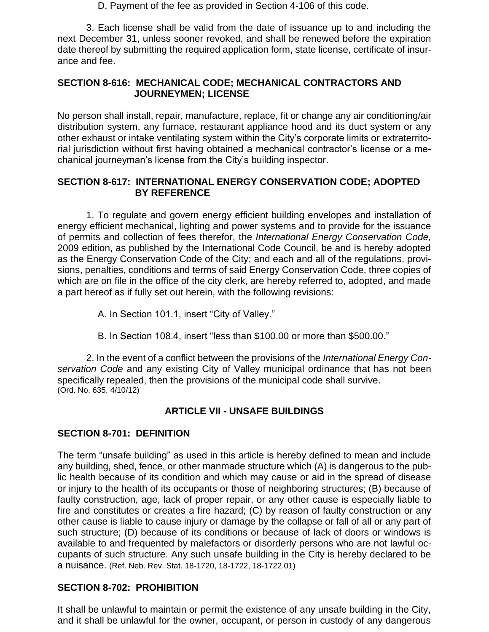D. Payment of the fee as provided in Section 4-106 of this code.

3. Each license shall be valid from the date of issuance up to and including the next December 31, unless sooner revoked, and shall be renewed before the expiration date thereof by submitting the required application form, state license, certificate of insurance and fee.

#### **SECTION 8-616: MECHANICAL CODE; MECHANICAL CONTRACTORS AND JOURNEYMEN; LICENSE**

No person shall install, repair, manufacture, replace, fit or change any air conditioning/air distribution system, any furnace, restaurant appliance hood and its duct system or any other exhaust or intake ventilating system within the City's corporate limits or extraterritorial jurisdiction without first having obtained a mechanical contractor's license or a mechanical journeyman's license from the City's building inspector.

## **SECTION 8-617: INTERNATIONAL ENERGY CONSERVATION CODE; ADOPTED BY REFERENCE**

1. To regulate and govern energy efficient building envelopes and installation of energy efficient mechanical, lighting and power systems and to provide for the issuance of permits and collection of fees therefor, the *International Energy Conservation Code,*  2009 edition, as published by the International Code Council, be and is hereby adopted as the Energy Conservation Code of the City; and each and all of the regulations, provisions, penalties, conditions and terms of said Energy Conservation Code, three copies of which are on file in the office of the city clerk, are hereby referred to, adopted, and made a part hereof as if fully set out herein, with the following revisions:

A. In Section 101.1, insert "City of Valley."

B. In Section 108.4, insert "less than \$100.00 or more than \$500.00."

2. In the event of a conflict between the provisions of the *International Energy Conservation Code* and any existing City of Valley municipal ordinance that has not been specifically repealed, then the provisions of the municipal code shall survive. (Ord. No. 635, 4/10/12)

## **ARTICLE VII - UNSAFE BUILDINGS**

## **SECTION 8-701: DEFINITION**

The term "unsafe building" as used in this article is hereby defined to mean and include any building, shed, fence, or other manmade structure which (A) is dangerous to the public health because of its condition and which may cause or aid in the spread of disease or injury to the health of its occupants or those of neighboring structures; (B) because of faulty construction, age, lack of proper repair, or any other cause is especially liable to fire and constitutes or creates a fire hazard; (C) by reason of faulty construction or any other cause is liable to cause injury or damage by the collapse or fall of all or any part of such structure; (D) because of its conditions or because of lack of doors or windows is available to and frequented by malefactors or disorderly persons who are not lawful occupants of such structure. Any such unsafe building in the City is hereby declared to be a nuisance. (Ref. Neb. Rev. Stat. 18-1720, 18-1722, 18-1722.01)

## **SECTION 8-702: PROHIBITION**

It shall be unlawful to maintain or permit the existence of any unsafe building in the City, and it shall be unlawful for the owner, occupant, or person in custody of any dangerous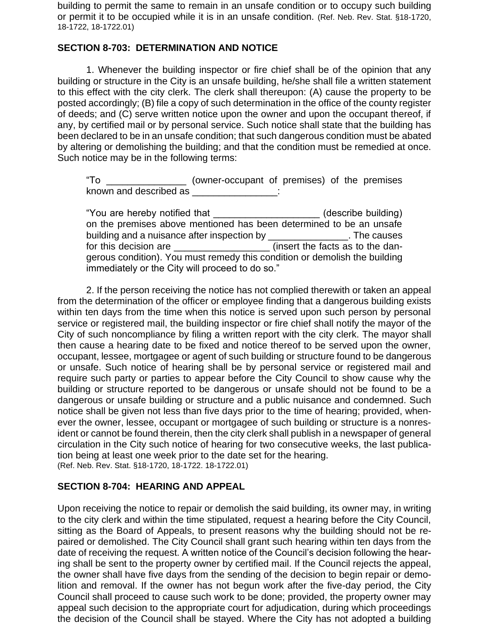building to permit the same to remain in an unsafe condition or to occupy such building or permit it to be occupied while it is in an unsafe condition. (Ref. Neb. Rev. Stat. §18-1720, 18-1722, 18-1722.01)

## **SECTION 8-703: DETERMINATION AND NOTICE**

1. Whenever the building inspector or fire chief shall be of the opinion that any building or structure in the City is an unsafe building, he/she shall file a written statement to this effect with the city clerk. The clerk shall thereupon: (A) cause the property to be posted accordingly; (B) file a copy of such determination in the office of the county register of deeds; and (C) serve written notice upon the owner and upon the occupant thereof, if any, by certified mail or by personal service. Such notice shall state that the building has been declared to be in an unsafe condition; that such dangerous condition must be abated by altering or demolishing the building; and that the condition must be remedied at once. Such notice may be in the following terms:

"To \_\_\_\_\_\_\_\_\_\_\_\_\_\_\_ (owner-occupant of premises) of the premises known and described as \_\_\_\_\_\_\_\_\_\_\_\_\_\_\_\_\_:

"You are hereby notified that \_\_\_\_\_\_\_\_\_\_\_\_\_\_\_\_\_\_\_\_ (describe building) on the premises above mentioned has been determined to be an unsafe building and a nuisance after inspection by \_\_\_\_\_\_\_\_\_\_\_\_\_\_\_\_. The causes for this decision are \_\_\_\_\_\_\_\_\_\_\_\_\_\_\_\_\_\_\_\_\_\_ (insert the facts as to the dangerous condition). You must remedy this condition or demolish the building immediately or the City will proceed to do so."

2. If the person receiving the notice has not complied therewith or taken an appeal from the determination of the officer or employee finding that a dangerous building exists within ten days from the time when this notice is served upon such person by personal service or registered mail, the building inspector or fire chief shall notify the mayor of the City of such noncompliance by filing a written report with the city clerk. The mayor shall then cause a hearing date to be fixed and notice thereof to be served upon the owner, occupant, lessee, mortgagee or agent of such building or structure found to be dangerous or unsafe. Such notice of hearing shall be by personal service or registered mail and require such party or parties to appear before the City Council to show cause why the building or structure reported to be dangerous or unsafe should not be found to be a dangerous or unsafe building or structure and a public nuisance and condemned. Such notice shall be given not less than five days prior to the time of hearing; provided, whenever the owner, lessee, occupant or mortgagee of such building or structure is a nonresident or cannot be found therein, then the city clerk shall publish in a newspaper of general circulation in the City such notice of hearing for two consecutive weeks, the last publication being at least one week prior to the date set for the hearing. (Ref. Neb. Rev. Stat. §18-1720, 18-1722. 18-1722.01)

#### **SECTION 8-704: HEARING AND APPEAL**

Upon receiving the notice to repair or demolish the said building, its owner may, in writing to the city clerk and within the time stipulated, request a hearing before the City Council, sitting as the Board of Appeals, to present reasons why the building should not be repaired or demolished. The City Council shall grant such hearing within ten days from the date of receiving the request. A written notice of the Council's decision following the hearing shall be sent to the property owner by certified mail. If the Council rejects the appeal, the owner shall have five days from the sending of the decision to begin repair or demolition and removal. If the owner has not begun work after the five-day period, the City Council shall proceed to cause such work to be done; provided, the property owner may appeal such decision to the appropriate court for adjudication, during which proceedings the decision of the Council shall be stayed. Where the City has not adopted a building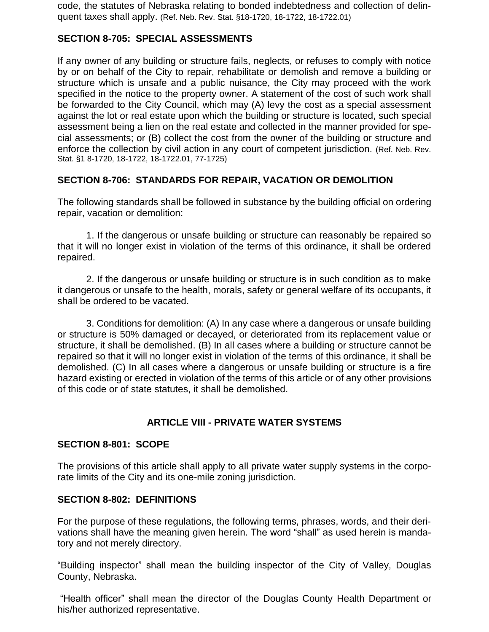code, the statutes of Nebraska relating to bonded indebtedness and collection of delinquent taxes shall apply. (Ref. Neb. Rev. Stat. §18-1720, 18-1722, 18-1722.01)

## **SECTION 8-705: SPECIAL ASSESSMENTS**

If any owner of any building or structure fails, neglects, or refuses to comply with notice by or on behalf of the City to repair, rehabilitate or demolish and remove a building or structure which is unsafe and a public nuisance, the City may proceed with the work specified in the notice to the property owner. A statement of the cost of such work shall be forwarded to the City Council, which may (A) levy the cost as a special assessment against the lot or real estate upon which the building or structure is located, such special assessment being a lien on the real estate and collected in the manner provided for special assessments; or (B) collect the cost from the owner of the building or structure and enforce the collection by civil action in any court of competent jurisdiction. (Ref. Neb. Rev. Stat. §1 8-1720, 18-1722, 18-1722.01, 77-1725)

## **SECTION 8-706: STANDARDS FOR REPAIR, VACATION OR DEMOLITION**

The following standards shall be followed in substance by the building official on ordering repair, vacation or demolition:

1. If the dangerous or unsafe building or structure can reasonably be repaired so that it will no longer exist in violation of the terms of this ordinance, it shall be ordered repaired.

2. If the dangerous or unsafe building or structure is in such condition as to make it dangerous or unsafe to the health, morals, safety or general welfare of its occupants, it shall be ordered to be vacated.

3. Conditions for demolition: (A) In any case where a dangerous or unsafe building or structure is 50% damaged or decayed, or deteriorated from its replacement value or structure, it shall be demolished. (B) In all cases where a building or structure cannot be repaired so that it will no longer exist in violation of the terms of this ordinance, it shall be demolished. (C) In all cases where a dangerous or unsafe building or structure is a fire hazard existing or erected in violation of the terms of this article or of any other provisions of this code or of state statutes, it shall be demolished.

#### **ARTICLE VIII - PRIVATE WATER SYSTEMS**

#### **SECTION 8-801: SCOPE**

The provisions of this article shall apply to all private water supply systems in the corporate limits of the City and its one-mile zoning jurisdiction.

#### **SECTION 8-802: DEFINITIONS**

For the purpose of these regulations, the following terms, phrases, words, and their derivations shall have the meaning given herein. The word "shall" as used herein is mandatory and not merely directory.

"Building inspector" shall mean the building inspector of the City of Valley, Douglas County, Nebraska.

"Health officer" shall mean the director of the Douglas County Health Department or his/her authorized representative.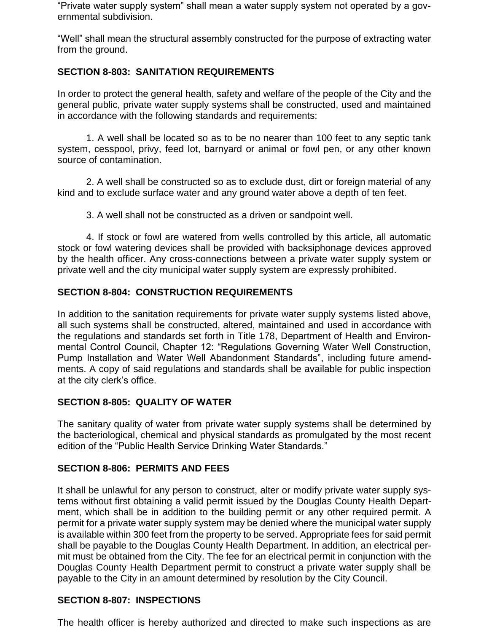"Private water supply system" shall mean a water supply system not operated by a governmental subdivision.

"Well" shall mean the structural assembly constructed for the purpose of extracting water from the ground.

## **SECTION 8-803: SANITATION REQUIREMENTS**

In order to protect the general health, safety and welfare of the people of the City and the general public, private water supply systems shall be constructed, used and maintained in accordance with the following standards and requirements:

1. A well shall be located so as to be no nearer than 100 feet to any septic tank system, cesspool, privy, feed lot, barnyard or animal or fowl pen, or any other known source of contamination.

2. A well shall be constructed so as to exclude dust, dirt or foreign material of any kind and to exclude surface water and any ground water above a depth of ten feet.

3. A well shall not be constructed as a driven or sandpoint well.

4. If stock or fowl are watered from wells controlled by this article, all automatic stock or fowl watering devices shall be provided with backsiphonage devices approved by the health officer. Any cross-connections between a private water supply system or private well and the city municipal water supply system are expressly prohibited.

#### **SECTION 8-804: CONSTRUCTION REQUIREMENTS**

In addition to the sanitation requirements for private water supply systems listed above, all such systems shall be constructed, altered, maintained and used in accordance with the regulations and standards set forth in Title 178, Department of Health and Environmental Control Council, Chapter 12: "Regulations Governing Water Well Construction, Pump Installation and Water Well Abandonment Standards", including future amendments. A copy of said regulations and standards shall be available for public inspection at the city clerk's office.

#### **SECTION 8-805: QUALITY OF WATER**

The sanitary quality of water from private water supply systems shall be determined by the bacteriological, chemical and physical standards as promulgated by the most recent edition of the "Public Health Service Drinking Water Standards."

#### **SECTION 8-806: PERMITS AND FEES**

It shall be unlawful for any person to construct, alter or modify private water supply systems without first obtaining a valid permit issued by the Douglas County Health Department, which shall be in addition to the building permit or any other required permit. A permit for a private water supply system may be denied where the municipal water supply is available within 300 feet from the property to be served. Appropriate fees for said permit shall be payable to the Douglas County Health Department. In addition, an electrical permit must be obtained from the City. The fee for an electrical permit in conjunction with the Douglas County Health Department permit to construct a private water supply shall be payable to the City in an amount determined by resolution by the City Council.

#### **SECTION 8-807: INSPECTIONS**

The health officer is hereby authorized and directed to make such inspections as are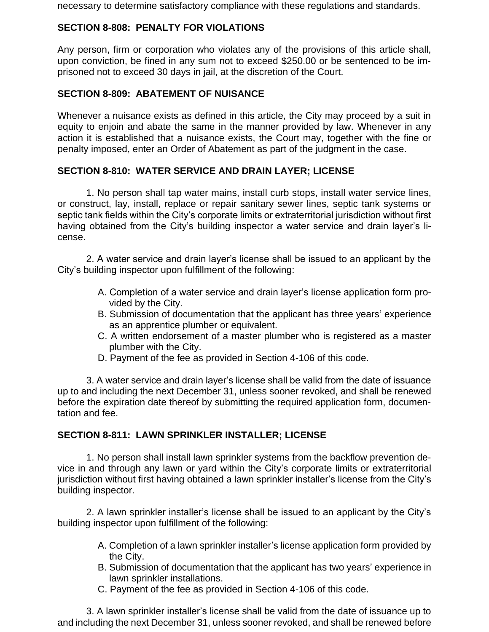necessary to determine satisfactory compliance with these regulations and standards.

## **SECTION 8-808: PENALTY FOR VIOLATIONS**

Any person, firm or corporation who violates any of the provisions of this article shall, upon conviction, be fined in any sum not to exceed \$250.00 or be sentenced to be imprisoned not to exceed 30 days in jail, at the discretion of the Court.

## **SECTION 8-809: ABATEMENT OF NUISANCE**

Whenever a nuisance exists as defined in this article, the City may proceed by a suit in equity to enjoin and abate the same in the manner provided by law. Whenever in any action it is established that a nuisance exists, the Court may, together with the fine or penalty imposed, enter an Order of Abatement as part of the judgment in the case.

## **SECTION 8-810: WATER SERVICE AND DRAIN LAYER; LICENSE**

1. No person shall tap water mains, install curb stops, install water service lines, or construct, lay, install, replace or repair sanitary sewer lines, septic tank systems or septic tank fields within the City's corporate limits or extraterritorial jurisdiction without first having obtained from the City's building inspector a water service and drain layer's license.

2. A water service and drain layer's license shall be issued to an applicant by the City's building inspector upon fulfillment of the following:

- A. Completion of a water service and drain layer's license application form provided by the City.
- B. Submission of documentation that the applicant has three years' experience as an apprentice plumber or equivalent.
- C. A written endorsement of a master plumber who is registered as a master plumber with the City.
- D. Payment of the fee as provided in Section 4-106 of this code.

3. A water service and drain layer's license shall be valid from the date of issuance up to and including the next December 31, unless sooner revoked, and shall be renewed before the expiration date thereof by submitting the required application form, documentation and fee.

#### **SECTION 8-811: LAWN SPRINKLER INSTALLER; LICENSE**

1. No person shall install lawn sprinkler systems from the backflow prevention device in and through any lawn or yard within the City's corporate limits or extraterritorial jurisdiction without first having obtained a lawn sprinkler installer's license from the City's building inspector.

2. A lawn sprinkler installer's license shall be issued to an applicant by the City's building inspector upon fulfillment of the following:

- A. Completion of a lawn sprinkler installer's license application form provided by the City.
- B. Submission of documentation that the applicant has two years' experience in lawn sprinkler installations.
- C. Payment of the fee as provided in Section 4-106 of this code.

3. A lawn sprinkler installer's license shall be valid from the date of issuance up to and including the next December 31, unless sooner revoked, and shall be renewed before